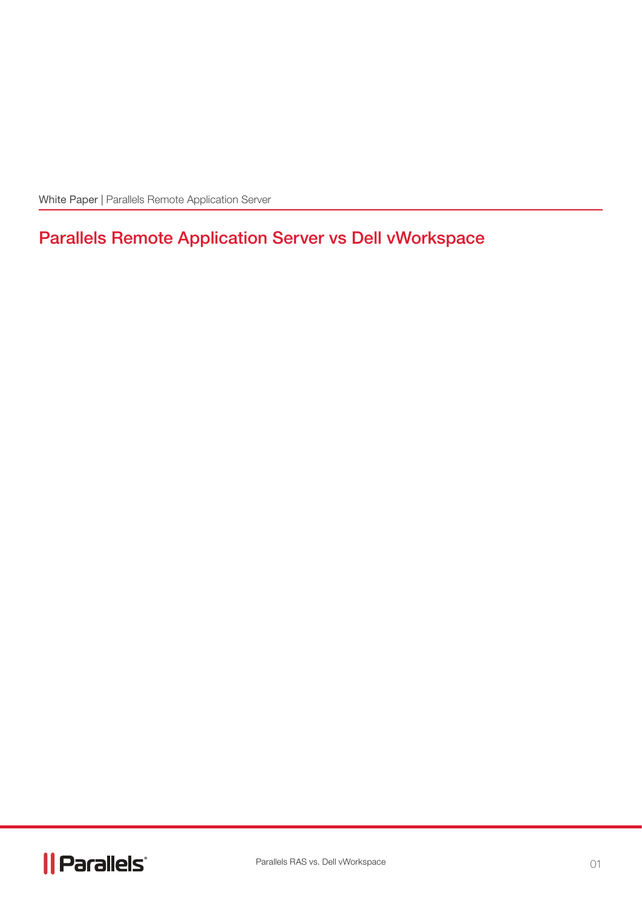White Paper | Parallels Remote Application Server

# Parallels Remote Application Server vs Dell vWorkspace

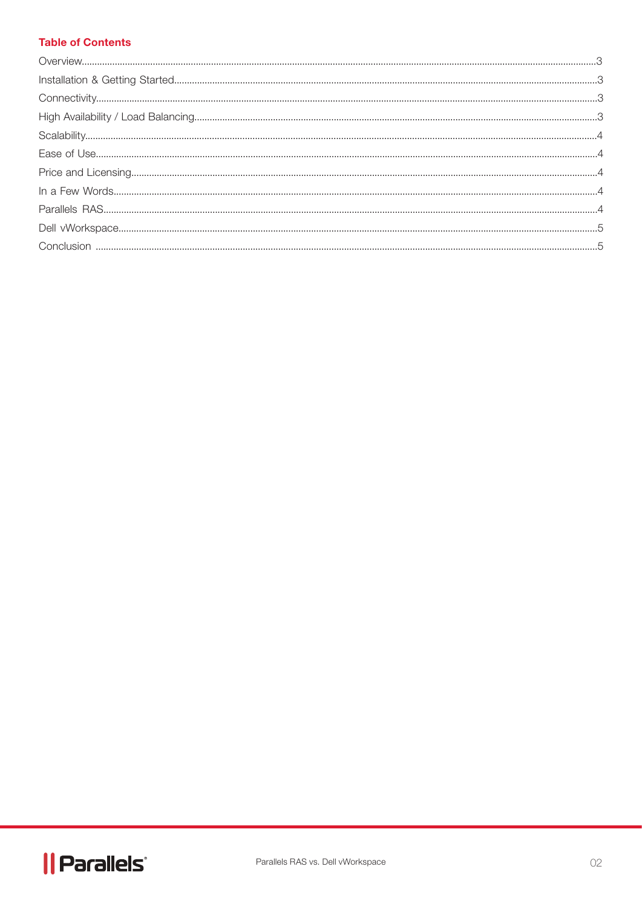#### **Table of Contents**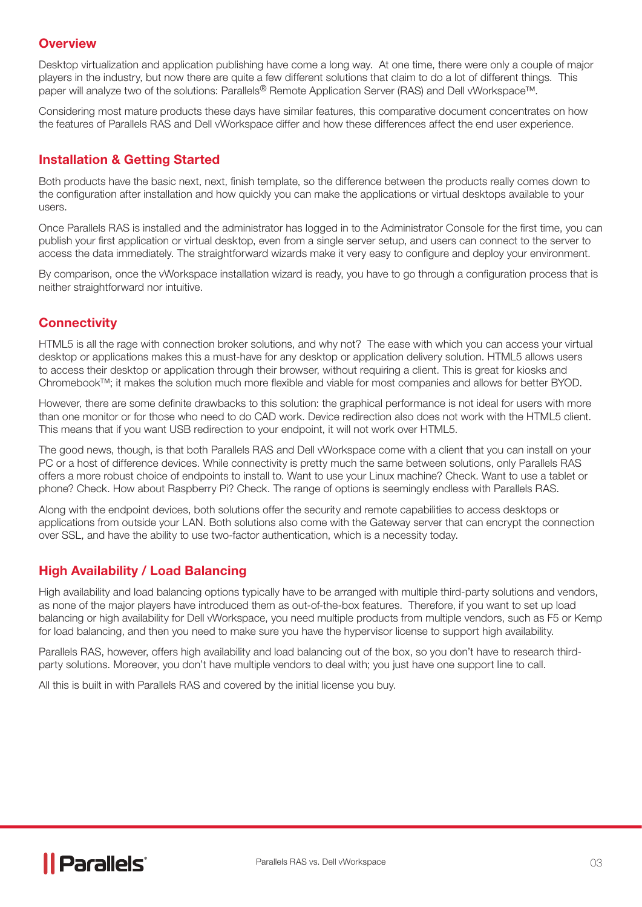#### **Overview**

Desktop virtualization and application publishing have come a long way. At one time, there were only a couple of major players in the industry, but now there are quite a few different solutions that claim to do a lot of different things. This paper will analyze two of the solutions: Parallels® Remote Application Server (RAS) and Dell vWorkspace™.

Considering most mature products these days have similar features, this comparative document concentrates on how the features of Parallels RAS and Dell vWorkspace differ and how these differences affect the end user experience.

#### Installation & Getting Started

Both products have the basic next, next, finish template, so the difference between the products really comes down to the configuration after installation and how quickly you can make the applications or virtual desktops available to your users.

Once Parallels RAS is installed and the administrator has logged in to the Administrator Console for the first time, you can publish your first application or virtual desktop, even from a single server setup, and users can connect to the server to access the data immediately. The straightforward wizards make it very easy to configure and deploy your environment.

By comparison, once the vWorkspace installation wizard is ready, you have to go through a configuration process that is neither straightforward nor intuitive.

## **Connectivity**

HTML5 is all the rage with connection broker solutions, and why not? The ease with which you can access your virtual desktop or applications makes this a must-have for any desktop or application delivery solution. HTML5 allows users to access their desktop or application through their browser, without requiring a client. This is great for kiosks and Chromebook™; it makes the solution much more flexible and viable for most companies and allows for better BYOD.

However, there are some definite drawbacks to this solution: the graphical performance is not ideal for users with more than one monitor or for those who need to do CAD work. Device redirection also does not work with the HTML5 client. This means that if you want USB redirection to your endpoint, it will not work over HTML5.

The good news, though, is that both Parallels RAS and Dell vWorkspace come with a client that you can install on your PC or a host of difference devices. While connectivity is pretty much the same between solutions, only Parallels RAS offers a more robust choice of endpoints to install to. Want to use your Linux machine? Check. Want to use a tablet or phone? Check. How about Raspberry Pi? Check. The range of options is seemingly endless with Parallels RAS.

Along with the endpoint devices, both solutions offer the security and remote capabilities to access desktops or applications from outside your LAN. Both solutions also come with the Gateway server that can encrypt the connection over SSL, and have the ability to use two-factor authentication, which is a necessity today.

# High Availability / Load Balancing

High availability and load balancing options typically have to be arranged with multiple third-party solutions and vendors, as none of the major players have introduced them as out-of-the-box features. Therefore, if you want to set up load balancing or high availability for Dell vWorkspace, you need multiple products from multiple vendors, such as F5 or Kemp for load balancing, and then you need to make sure you have the hypervisor license to support high availability.

Parallels RAS, however, offers high availability and load balancing out of the box, so you don't have to research thirdparty solutions. Moreover, you don't have multiple vendors to deal with; you just have one support line to call.

All this is built in with Parallels RAS and covered by the initial license you buy.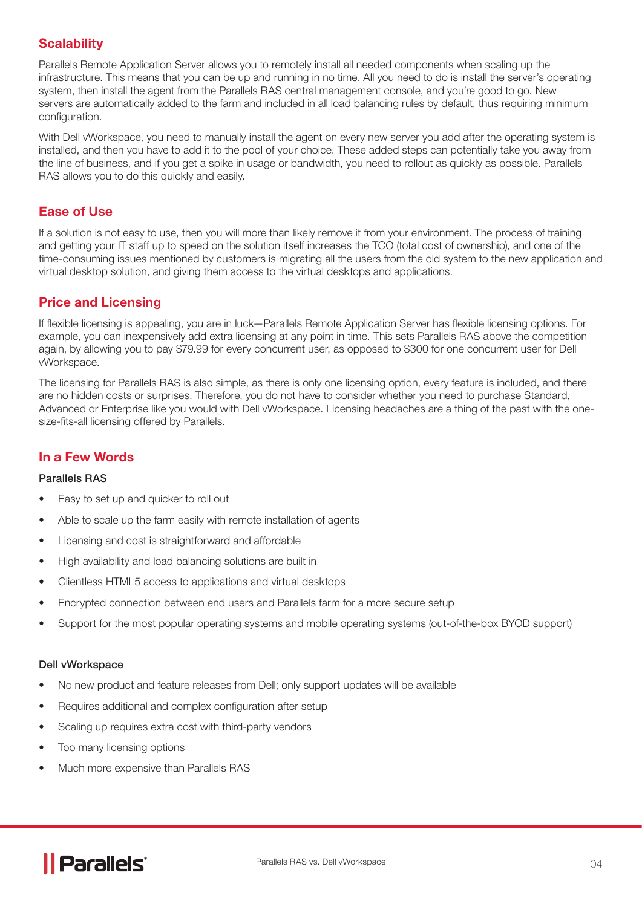# **Scalability**

Parallels Remote Application Server allows you to remotely install all needed components when scaling up the infrastructure. This means that you can be up and running in no time. All you need to do is install the server's operating system, then install the agent from the Parallels RAS central management console, and you're good to go. New servers are automatically added to the farm and included in all load balancing rules by default, thus requiring minimum configuration.

With Dell vWorkspace, you need to manually install the agent on every new server you add after the operating system is installed, and then you have to add it to the pool of your choice. These added steps can potentially take you away from the line of business, and if you get a spike in usage or bandwidth, you need to rollout as quickly as possible. Parallels RAS allows you to do this quickly and easily.

#### Ease of Use

If a solution is not easy to use, then you will more than likely remove it from your environment. The process of training and getting your IT staff up to speed on the solution itself increases the TCO (total cost of ownership), and one of the time-consuming issues mentioned by customers is migrating all the users from the old system to the new application and virtual desktop solution, and giving them access to the virtual desktops and applications.

## Price and Licensing

If flexible licensing is appealing, you are in luck—Parallels Remote Application Server has flexible licensing options. For example, you can inexpensively add extra licensing at any point in time. This sets Parallels RAS above the competition again, by allowing you to pay \$79.99 for every concurrent user, as opposed to \$300 for one concurrent user for Dell vWorkspace.

The licensing for Parallels RAS is also simple, as there is only one licensing option, every feature is included, and there are no hidden costs or surprises. Therefore, you do not have to consider whether you need to purchase Standard, Advanced or Enterprise like you would with Dell vWorkspace. Licensing headaches are a thing of the past with the onesize-fits-all licensing offered by Parallels.

#### In a Few Words

#### Parallels RAS

- Easy to set up and quicker to roll out
- Able to scale up the farm easily with remote installation of agents
- Licensing and cost is straightforward and affordable
- High availability and load balancing solutions are built in
- Clientless HTML5 access to applications and virtual desktops
- Encrypted connection between end users and Parallels farm for a more secure setup
- Support for the most popular operating systems and mobile operating systems (out-of-the-box BYOD support)

#### Dell vWorkspace

- No new product and feature releases from Dell; only support updates will be available
- Requires additional and complex configuration after setup
- Scaling up requires extra cost with third-party vendors
- Too many licensing options
- Much more expensive than Parallels RAS